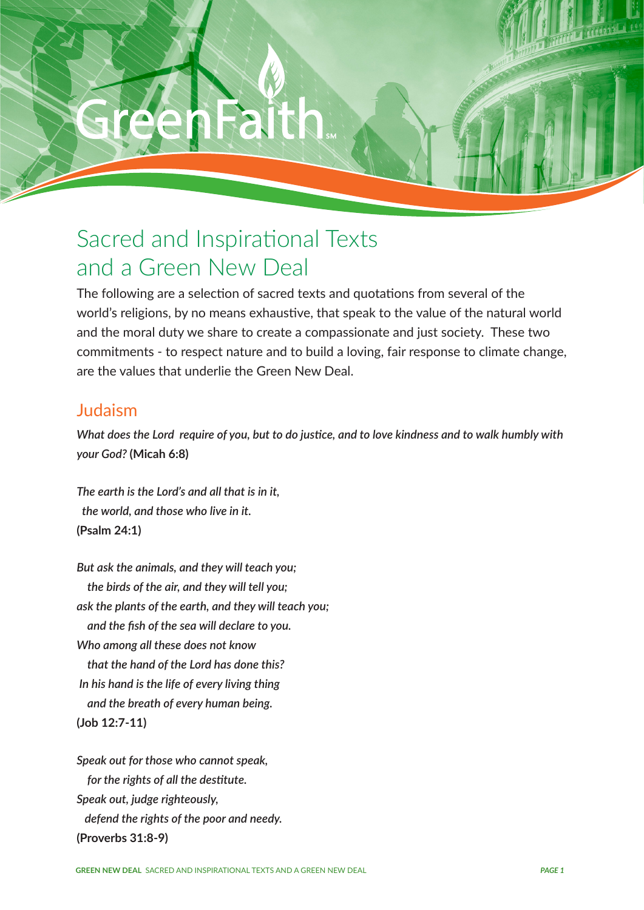GREEN NEW DEAL SACRED AND INSPIRATIONAL TEXTS AND INSPIRATION

# Sacred and Inspirational Texts and a Green New Deal

The following are a selection of sacred texts and quotations from several of the world's religions, by no means exhaustive, that speak to the value of the natural world and the moral duty we share to create a compassionate and just society. These two commitments - to respect nature and to build a loving, fair response to climate change, are the values that underlie the Green New Deal.

## Judaism

*What does the Lord require of you, but to do justice, and to love kindness and to walk humbly with your God?* **(Micah 6:8)**

*The earth is the Lord's and all that is in it, the world, and those who live in it.*  **(Psalm 24:1)**

*But ask the animals, and they will teach you; the birds of the air, and they will tell you; ask the plants of the earth, and they will teach you; and the fish of the sea will declare to you. Who among all these does not know that the hand of the Lord has done this? In his hand is the life of every living thing and the breath of every human being.* **(Job 12:7-11)**

*Speak out for those who cannot speak, for the rights of all the destitute. Speak out, judge righteously, defend the rights of the poor and needy.*  **(Proverbs 31:8-9)**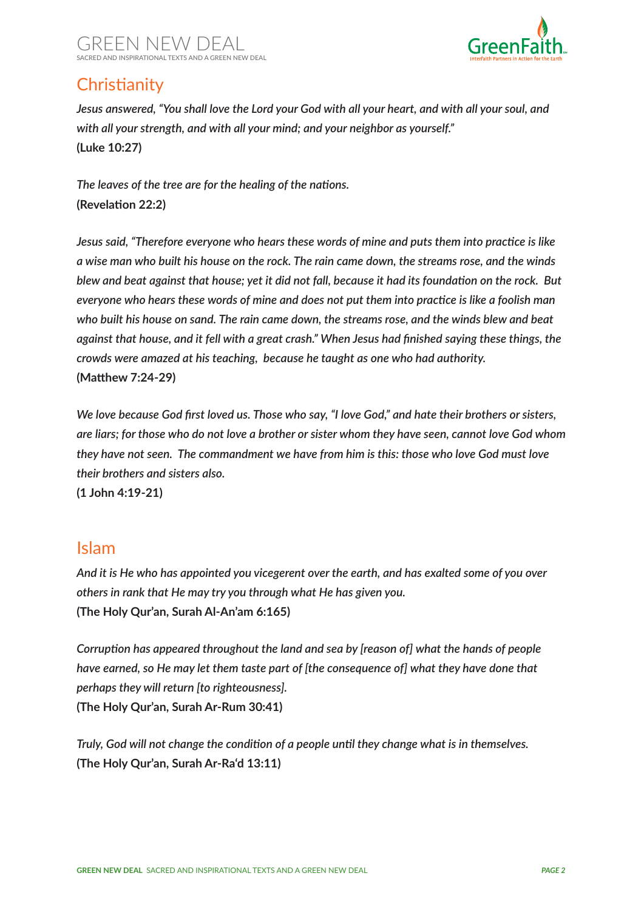



# **Christianity**

*Jesus answered, "You shall love the Lord your God with all your heart, and with all your soul, and with all your strength, and with all your mind; and your neighbor as yourself."*  **(Luke 10:27)**

*The leaves of the tree are for the healing of the nations.*  **(Revelation 22:2)**

*Jesus said, "Therefore everyone who hears these words of mine and puts them into practice is like a wise man who built his house on the rock. The rain came down, the streams rose, and the winds blew and beat against that house; yet it did not fall, because it had its foundation on the rock. But everyone who hears these words of mine and does not put them into practice is like a foolish man who built his house on sand. The rain came down, the streams rose, and the winds blew and beat against that house, and it fell with a great crash." When Jesus had finished saying these things, the crowds were amazed at his teaching, because he taught as one who had authority.*  **(Matthew 7:24-29)**

*We love because God first loved us. Those who say, "I love God," and hate their brothers or sisters, are liars; for those who do not love a brother or sister whom they have seen, cannot love God whom they have not seen. The commandment we have from him is this: those who love God must love their brothers and sisters also.* 

**(1 John 4:19-21)**

#### Islam

*And it is He who has appointed you vicegerent over the earth, and has exalted some of you over others in rank that He may try you through what He has given you.*  **(The Holy Qur'an, Surah Al-An'am 6:165)** 

*Corruption has appeared throughout the land and sea by [reason of] what the hands of people have earned, so He may let them taste part of [the consequence of] what they have done that perhaps they will return [to righteousness].*  **(The Holy Qur'an, Surah Ar-Rum 30:41)**

*Truly, God will not change the condition of a people until they change what is in themselves.*  **(The Holy Qur'an, Surah Ar-Ra'd 13:11)**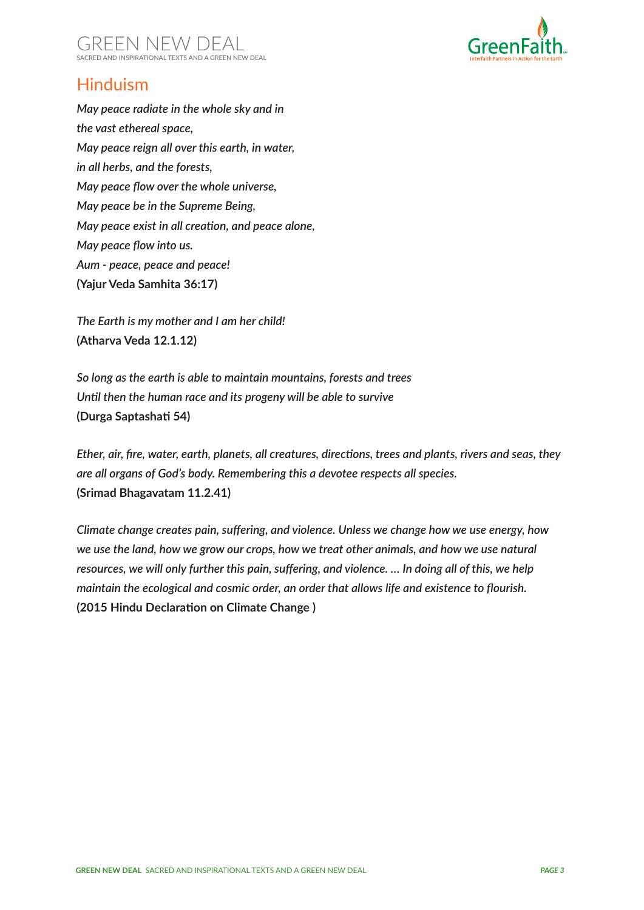



# Hinduism

*May peace radiate in the whole sky and in the vast ethereal space, May peace reign all over this earth, in water, in all herbs, and the forests, May peace flow over the whole universe, May peace be in the Supreme Being, May peace exist in all creation, and peace alone, May peace flow into us. Aum - peace, peace and peace!* **(Yajur Veda Samhita 36:17)** 

*The Earth is my mother and I am her child!* **(Atharva Veda 12.1.12)**

*So long as the earth is able to maintain mountains, forests and trees Until then the human race and its progeny will be able to survive* **(Durga Saptashati 54)**

*Ether, air, fire, water, earth, planets, all creatures, directions, trees and plants, rivers and seas, they are all organs of God's body. Remembering this a devotee respects all species.*  **(Srimad Bhagavatam 11.2.41)**

*Climate change creates pain, suffering, and violence. Unless we change how we use energy, how we use the land, how we grow our crops, how we treat other animals, and how we use natural resources, we will only further this pain, suffering, and violence. … In doing all of this, we help maintain the ecological and cosmic order, an order that allows life and existence to flourish.*  **(2015 Hindu Declaration on Climate Change )**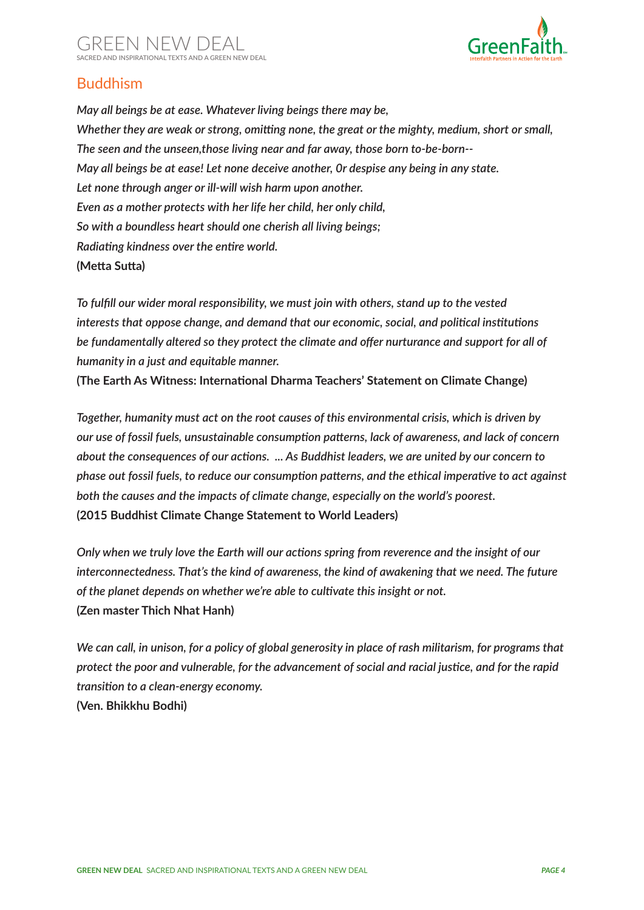

#### Buddhism

*May all beings be at ease. Whatever living beings there may be, Whether they are weak or strong, omitting none, the great or the mighty, medium, short or small, The seen and the unseen,those living near and far away, those born to-be-born-- May all beings be at ease! Let none deceive another, 0r despise any being in any state. Let none through anger or ill-will wish harm upon another. Even as a mother protects with her life her child, her only child, So with a boundless heart should one cherish all living beings; Radiating kindness over the entire world.*  **(Metta Sutta)**

*To fulfill our wider moral responsibility, we must join with others, stand up to the vested interests that oppose change, and demand that our economic, social, and political institutions be fundamentally altered so they protect the climate and offer nurturance and support for all of humanity in a just and equitable manner.* 

**(The Earth As Witness: International Dharma Teachers' Statement on Climate Change)**

*Together, humanity must act on the root causes of this environmental crisis, which is driven by our use of fossil fuels, unsustainable consumption patterns, lack of awareness, and lack of concern about the consequences of our actions. ... As Buddhist leaders, we are united by our concern to phase out fossil fuels, to reduce our consumption patterns, and the ethical imperative to act against both the causes and the impacts of climate change, especially on the world's poorest.*  **(2015 Buddhist Climate Change Statement to World Leaders)**

*Only when we truly love the Earth will our actions spring from reverence and the insight of our interconnectedness. That's the kind of awareness, the kind of awakening that we need. The future of the planet depends on whether we're able to cultivate this insight or not.*  **(Zen master Thich Nhat Hanh)**

*We can call, in unison, for a policy of global generosity in place of rash militarism, for programs that protect the poor and vulnerable, for the advancement of social and racial justice, and for the rapid transition to a clean-energy economy.*  **(Ven. Bhikkhu Bodhi)**